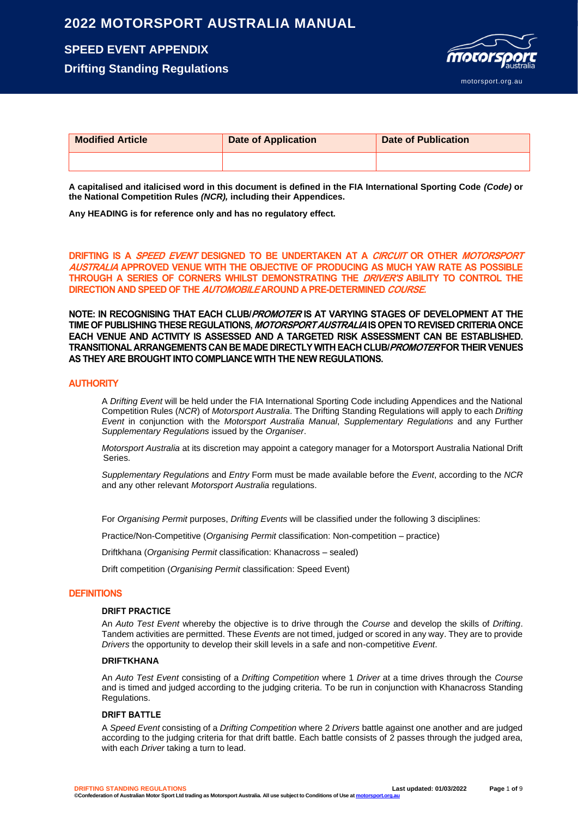## **2022 MOTORSPORT AUSTRALIA MANUAL**

## **SPEED EVENT APPENDIX**

**Drifting Standing Regulations**



| <b>Modified Article</b> | <b>Date of Application</b> | <b>Date of Publication</b> |
|-------------------------|----------------------------|----------------------------|
|                         |                            |                            |

**A capitalised and italicised word in this document is defined in the FIA International Sporting Code** *(Code)* **or the National Competition Rules** *(NCR),* **including their Appendices.**

**Any HEADING is for reference only and has no regulatory effect.**

**DRIFTING IS A SPEED EVENT DESIGNED TO BE UNDERTAKEN AT A CIRCUIT OR OTHER MOTORSPORT AUSTRALIA APPROVED VENUE WITH THE OBJECTIVE OF PRODUCING AS MUCH YAW RATE AS POSSIBLE THROUGH A SERIES OF CORNERS WHILST DEMONSTRATING THE DRIVER'S ABILITY TO CONTROL THE DIRECTION AND SPEED OF THE AUTOMOBILE AROUND A PRE-DETERMINED COURSE.**

**NOTE: IN RECOGNISING THAT EACH CLUB/PROMOTER IS AT VARYING STAGES OF DEVELOPMENT AT THE TIME OF PUBLISHING THESE REGULATIONS, MOTORSPORT AUSTRALIA ISOPEN TO REVISED CRITERIA ONCE EACH VENUE AND ACTIVITY IS ASSESSED AND A TARGETED RISK ASSESSMENT CAN BE ESTABLISHED. TRANSITIONAL ARRANGEMENTS CAN BE MADE DIRECTLY WITH EACH CLUB/PROMOTER FOR THEIR VENUES AS THEY ARE BROUGHT INTO COMPLIANCE WITH THE NEW REGULATIONS.**

### **AUTHORITY**

A *Drifting Event* will be held under the FIA International Sporting Code including Appendices and the National Competition Rules (*NCR*) of *Motorsport Australia*. The Drifting Standing Regulations will apply to each *Drifting Event* in conjunction with the *Motorsport Australia Manual*, *Supplementary Regulations* and any Further *Supplementary Regulations* issued by the *Organiser*.

*Motorsport Australia* at its discretion may appoint a category manager for a Motorsport Australia National Drift Series.

*Supplementary Regulations* and *Entry* Form must be made available before the *Event*, according to the *NCR* and any other relevant *Motorsport Australia* regulations.

For *Organising Permit* purposes, *Drifting Events* will be classified under the following 3 disciplines:

Practice/Non-Competitive (*Organising Permit* classification: Non-competition – practice)

Driftkhana (*Organising Permit* classification: Khanacross – sealed)

Drift competition (*Organising Permit* classification: Speed Event)

### **DEFINITIONS**

### **DRIFT PRACTICE**

An *Auto Test Event* whereby the objective is to drive through the *Course* and develop the skills of *Drifting*. Tandem activities are permitted. These *Events* are not timed, judged or scored in any way. They are to provide *Drivers* the opportunity to develop their skill levels in a safe and non-competitive *Event*.

### **DRIFTKHANA**

An *Auto Test Event* consisting of a *Drifting Competition* where 1 *Driver* at a time drives through the *Course* and is timed and judged according to the judging criteria. To be run in conjunction with Khanacross Standing Regulations.

### **DRIFT BATTLE**

A *Speed Event* consisting of a *Drifting Competition* where 2 *Drivers* battle against one another and are judged according to the judging criteria for that drift battle. Each battle consists of 2 passes through the judged area, with each *Driver* taking a turn to lead.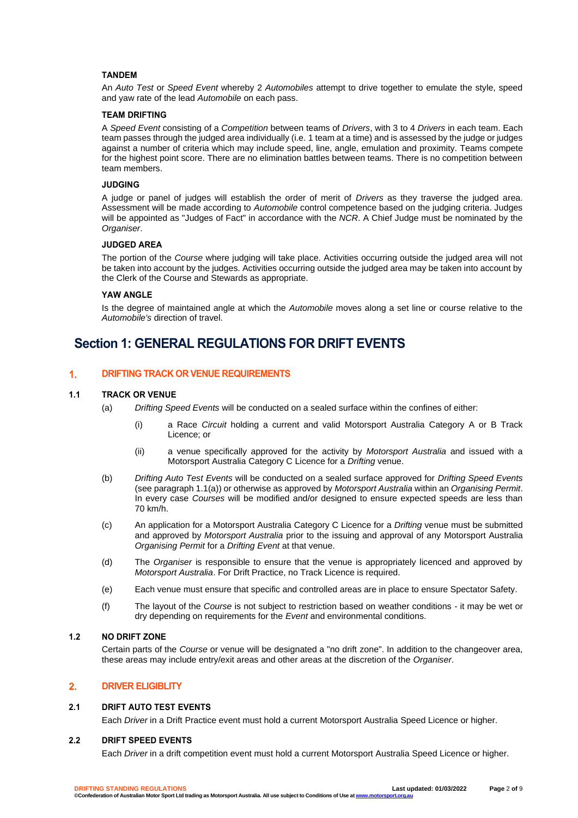### **TANDEM**

An *Auto Test* or *Speed Event* whereby 2 *Automobiles* attempt to drive together to emulate the style, speed and yaw rate of the lead *Automobile* on each pass.

### **TEAM DRIFTING**

A *Speed Event* consisting of a *Competition* between teams of *Drivers*, with 3 to 4 *Drivers* in each team. Each team passes through the judged area individually (i.e. 1 team at a time) and is assessed by the judge or judges against a number of criteria which may include speed, line, angle, emulation and proximity. Teams compete for the highest point score. There are no elimination battles between teams. There is no competition between team members.

### **JUDGING**

A judge or panel of judges will establish the order of merit of *Drivers* as they traverse the judged area. Assessment will be made according to *Automobile* control competence based on the judging criteria. Judges will be appointed as "Judges of Fact" in accordance with the *NCR*. A Chief Judge must be nominated by the *Organiser*.

### **JUDGED AREA**

The portion of the *Course* where judging will take place. Activities occurring outside the judged area will not be taken into account by the judges. Activities occurring outside the judged area may be taken into account by the Clerk of the Course and Stewards as appropriate.

### **YAW ANGLE**

Is the degree of maintained angle at which the *Automobile* moves along a set line or course relative to the *Automobile's* direction of travel.

## **Section 1: GENERAL REGULATIONS FOR DRIFT EVENTS**

#### 1. **DRIFTING TRACK OR VENUE REQUIREMENTS**

### **1.1 TRACK OR VENUE**

- (a) *Drifting Speed Events* will be conducted on a sealed surface within the confines of either:
	- a Race *Circuit* holding a current and valid Motorsport Australia Category A or B Track Licence; or
	- (ii) a venue specifically approved for the activity by *Motorsport Australia* and issued with a Motorsport Australia Category C Licence for a *Drifting* venue.
- (b) *Drifting Auto Test Events* will be conducted on a sealed surface approved for *Drifting Speed Events* (see paragraph 1.1(a)) or otherwise as approved by *Motorsport Australia* within an *Organising Permit*. In every case *Courses* will be modified and/or designed to ensure expected speeds are less than 70 km/h.
- (c) An application for a Motorsport Australia Category C Licence for a *Drifting* venue must be submitted and approved by *Motorsport Australia* prior to the issuing and approval of any Motorsport Australia *Organising Permit* for a *Drifting Event* at that venue.
- (d) The *Organiser* is responsible to ensure that the venue is appropriately licenced and approved by *Motorsport Australia*. For Drift Practice, no Track Licence is required.
- (e) Each venue must ensure that specific and controlled areas are in place to ensure Spectator Safety.
- (f) The layout of the *Course* is not subject to restriction based on weather conditions it may be wet or dry depending on requirements for the *Event* and environmental conditions.

### **1.2 NO DRIFT ZONE**

Certain parts of the *Course* or venue will be designated a "no drift zone". In addition to the changeover area, these areas may include entry/exit areas and other areas at the discretion of the *Organiser*.

#### $2.$ **DRIVER ELIGIBLITY**

### **2.1 DRIFT AUTO TEST EVENTS**

Each *Driver* in a Drift Practice event must hold a current Motorsport Australia Speed Licence or higher.

### **2.2 DRIFT SPEED EVENTS**

Each *Driver* in a drift competition event must hold a current Motorsport Australia Speed Licence or higher.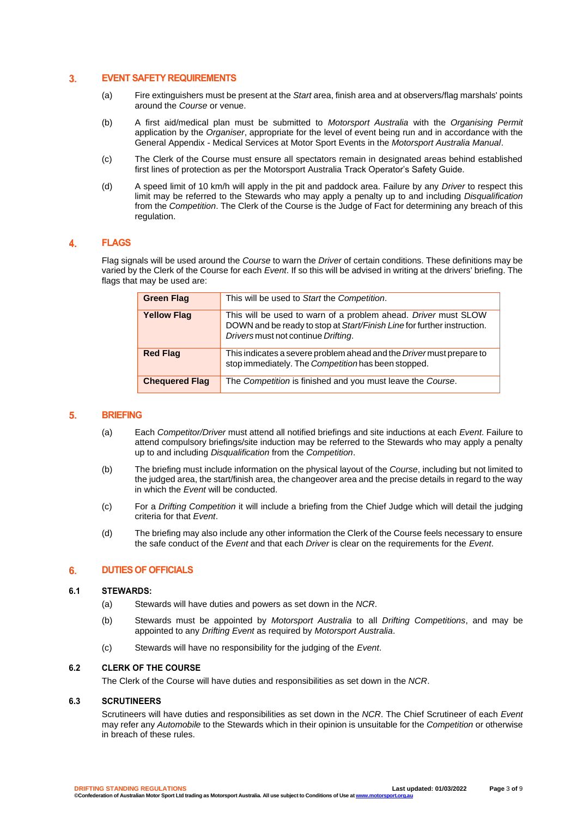#### $3.$ **EVENT SAFETY REQUIREMENTS**

- (a) Fire extinguishers must be present at the *Start* area, finish area and at observers/flag marshals' points around the *Course* or venue.
- (b) A first aid/medical plan must be submitted to *Motorsport Australia* with the *Organising Permit*  application by the *Organiser*, appropriate for the level of event being run and in accordance with the General Appendix - Medical Services at Motor Sport Events in the *Motorsport Australia Manual*.
- (c) The Clerk of the Course must ensure all spectators remain in designated areas behind established first lines of protection as per the Motorsport Australia Track Operator's Safety Guide.
- (d) A speed limit of 10 km/h will apply in the pit and paddock area. Failure by any *Driver* to respect this limit may be referred to the Stewards who may apply a penalty up to and including *Disqualification* from the *Competition*. The Clerk of the Course is the Judge of Fact for determining any breach of this regulation.

#### 4. **FLAGS**

Flag signals will be used around the *Course* to warn the *Driver* of certain conditions. These definitions may be varied by the Clerk of the Course for each *Event*. If so this will be advised in writing at the drivers' briefing. The flags that may be used are:

| <b>Green Flag</b>     | This will be used to Start the Competition.                                                                                                                                      |
|-----------------------|----------------------------------------------------------------------------------------------------------------------------------------------------------------------------------|
| <b>Yellow Flag</b>    | This will be used to warn of a problem ahead. Driver must SLOW<br>DOWN and be ready to stop at Start/Finish Line for further instruction.<br>Drivers must not continue Drifting. |
| <b>Red Flag</b>       | This indicates a severe problem ahead and the <i>Driver</i> must prepare to<br>stop immediately. The Competition has been stopped.                                               |
| <b>Chequered Flag</b> | The Competition is finished and you must leave the Course.                                                                                                                       |

#### $5<sub>1</sub>$ **BRIEFING**

- (a) Each *Competitor/Driver* must attend all notified briefings and site inductions at each *Event*. Failure to attend compulsory briefings/site induction may be referred to the Stewards who may apply a penalty up to and including *Disqualification* from the *Competition*.
- (b) The briefing must include information on the physical layout of the *Course*, including but not limited to the judged area, the start/finish area, the changeover area and the precise details in regard to the way in which the *Event* will be conducted.
- (c) For a *Drifting Competition* it will include a briefing from the Chief Judge which will detail the judging criteria for that *Event*.
- (d) The briefing may also include any other information the Clerk of the Course feels necessary to ensure the safe conduct of the *Event* and that each *Driver* is clear on the requirements for the *Event*.

#### 6. **DUTIES OF OFFICIALS**

### **6.1 STEWARDS:**

- (a) Stewards will have duties and powers as set down in the *NCR*.
- (b) Stewards must be appointed by *Motorsport Australia* to all *Drifting Competitions*, and may be appointed to any *Drifting Event* as required by *Motorsport Australia*.
- (c) Stewards will have no responsibility for the judging of the *Event*.

### **6.2 CLERK OF THE COURSE**

The Clerk of the Course will have duties and responsibilities as set down in the *NCR*.

### **6.3 SCRUTINEERS**

Scrutineers will have duties and responsibilities as set down in the *NCR*. The Chief Scrutineer of each *Event* may refer any *Automobile* to the Stewards which in their opinion is unsuitable for the *Competition* or otherwise in breach of these rules.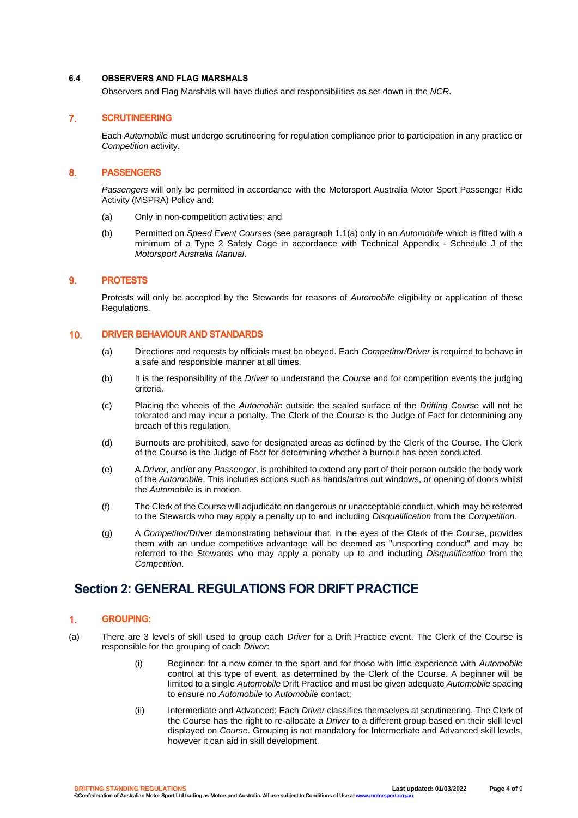### **6.4 OBSERVERS AND FLAG MARSHALS**

Observers and Flag Marshals will have duties and responsibilities as set down in the *NCR*.

#### $7<sub>1</sub>$ **SCRUTINEERING**

Each *Automobile* must undergo scrutineering for regulation compliance prior to participation in any practice or *Competition* activity.

#### 8. **PASSENGERS**

*Passengers* will only be permitted in accordance with the Motorsport Australia Motor Sport Passenger Ride Activity (MSPRA) Policy and:

- (a) Only in non-competition activities; and
- (b) Permitted on *Speed Event Courses* (see paragraph 1.1(a) only in an *Automobile* which is fitted with a minimum of a Type 2 Safety Cage in accordance with Technical Appendix - Schedule J of the *Motorsport Australia Manual*.

#### 9. **PROTESTS**

Protests will only be accepted by the Stewards for reasons of *Automobile* eligibility or application of these Regulations.

#### $10.$ **DRIVER BEHAVIOUR AND STANDARDS**

- (a) Directions and requests by officials must be obeyed. Each *Competitor/Driver* is required to behave in a safe and responsible manner at all times.
- (b) It is the responsibility of the *Driver* to understand the *Course* and for competition events the judging criteria.
- (c) Placing the wheels of the *Automobile* outside the sealed surface of the *Drifting Course* will not be tolerated and may incur a penalty. The Clerk of the Course is the Judge of Fact for determining any breach of this regulation.
- (d) Burnouts are prohibited, save for designated areas as defined by the Clerk of the Course. The Clerk of the Course is the Judge of Fact for determining whether a burnout has been conducted.
- (e) A *Driver*, and/or any *Passenger*, is prohibited to extend any part of their person outside the body work of the *Automobile*. This includes actions such as hands/arms out windows, or opening of doors whilst the *Automobile* is in motion.
- (f) The Clerk of the Course will adjudicate on dangerous or unacceptable conduct, which may be referred to the Stewards who may apply a penalty up to and including *Disqualification* from the *Competition*.
- (g) A *Competitor/Driver* demonstrating behaviour that, in the eyes of the Clerk of the Course, provides them with an undue competitive advantage will be deemed as "unsporting conduct" and may be referred to the Stewards who may apply a penalty up to and including *Disqualification* from the *Competition*.

## **Section 2: GENERAL REGULATIONS FOR DRIFT PRACTICE**

#### $\mathbf{1}$ . **GROUPING:**

- (a) There are 3 levels of skill used to group each *Driver* for a Drift Practice event. The Clerk of the Course is responsible for the grouping of each *Driver*:
	- (i) Beginner: for a new comer to the sport and for those with little experience with *Automobile* control at this type of event, as determined by the Clerk of the Course. A beginner will be limited to a single *Automobile* Drift Practice and must be given adequate *Automobile* spacing to ensure no *Automobile* to *Automobile* contact;
	- (ii) Intermediate and Advanced: Each *Driver* classifies themselves at scrutineering. The Clerk of the Course has the right to re-allocate a *Driver* to a different group based on their skill level displayed on *Course*. Grouping is not mandatory for Intermediate and Advanced skill levels, however it can aid in skill development.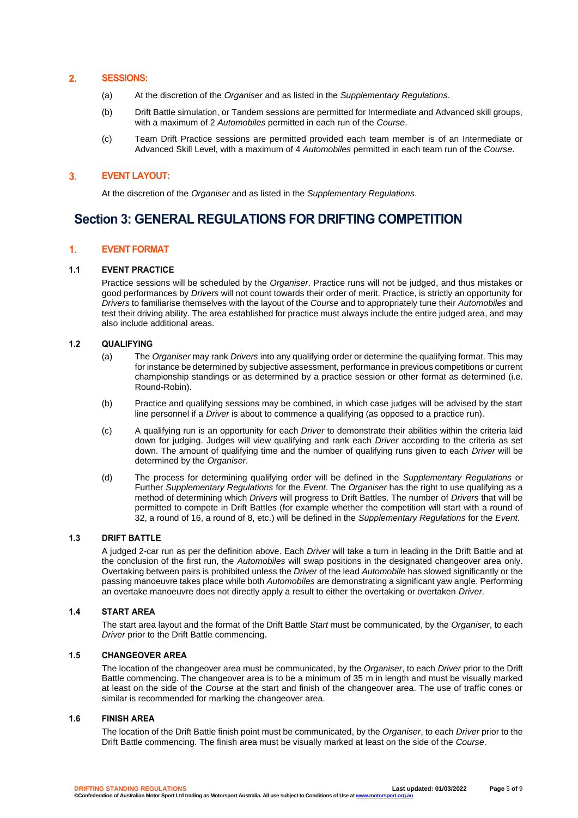#### $2.$ **SESSIONS:**

- (a) At the discretion of the *Organiser* and as listed in the *Supplementary Regulations*.
- (b) Drift Battle simulation, or Tandem sessions are permitted for Intermediate and Advanced skill groups, with a maximum of 2 *Automobiles* permitted in each run of the *Course*.
- (c) Team Drift Practice sessions are permitted provided each team member is of an Intermediate or Advanced Skill Level, with a maximum of 4 *Automobiles* permitted in each team run of the *Course*.

#### **EVENT LAYOUT:**   $3<sub>1</sub>$

At the discretion of the *Organiser* and as listed in the *Supplementary Regulations*.

## **Section 3: GENERAL REGULATIONS FOR DRIFTING COMPETITION**

#### $1<sub>1</sub>$ **EVENT FORMAT**

### **1.1 EVENT PRACTICE**

Practice sessions will be scheduled by the *Organiser*. Practice runs will not be judged, and thus mistakes or good performances by *Drivers* will not count towards their order of merit. Practice, is strictly an opportunity for *Drivers* to familiarise themselves with the layout of the *Course* and to appropriately tune their *Automobiles* and test their driving ability. The area established for practice must always include the entire judged area, and may also include additional areas.

### **1.2 QUALIFYING**

- (a) The *Organiser* may rank *Drivers* into any qualifying order or determine the qualifying format. This may for instance be determined by subjective assessment, performance in previous competitions or current championship standings or as determined by a practice session or other format as determined (i.e. Round-Robin).
- (b) Practice and qualifying sessions may be combined, in which case judges will be advised by the start line personnel if a *Driver* is about to commence a qualifying (as opposed to a practice run).
- (c) A qualifying run is an opportunity for each *Driver* to demonstrate their abilities within the criteria laid down for judging. Judges will view qualifying and rank each *Driver* according to the criteria as set down. The amount of qualifying time and the number of qualifying runs given to each *Driver* will be determined by the *Organiser*.
- (d) The process for determining qualifying order will be defined in the *Supplementary Regulations* or Further *Supplementary Regulations* for the *Event*. The *Organiser* has the right to use qualifying as a method of determining which *Drivers* will progress to Drift Battles. The number of *Drivers* that will be permitted to compete in Drift Battles (for example whether the competition will start with a round of 32, a round of 16, a round of 8, etc.) will be defined in the *Supplementary Regulations* for the *Event*.

### **1.3 DRIFT BATTLE**

A judged 2-car run as per the definition above. Each *Driver* will take a turn in leading in the Drift Battle and at the conclusion of the first run, the *Automobiles* will swap positions in the designated changeover area only. Overtaking between pairs is prohibited unless the *Driver* of the lead *Automobile* has slowed significantly or the passing manoeuvre takes place while both *Automobiles* are demonstrating a significant yaw angle. Performing an overtake manoeuvre does not directly apply a result to either the overtaking or overtaken *Driver*.

### **1.4 START AREA**

The start area layout and the format of the Drift Battle *Start* must be communicated, by the *Organiser*, to each *Driver* prior to the Drift Battle commencing.

### **1.5 CHANGEOVER AREA**

The location of the changeover area must be communicated, by the *Organiser*, to each *Driver* prior to the Drift Battle commencing. The changeover area is to be a minimum of 35 m in length and must be visually marked at least on the side of the *Course* at the start and finish of the changeover area. The use of traffic cones or similar is recommended for marking the changeover area.

### **1.6 FINISH AREA**

The location of the Drift Battle finish point must be communicated, by the *Organiser*, to each *Driver* prior to the Drift Battle commencing. The finish area must be visually marked at least on the side of the *Course*.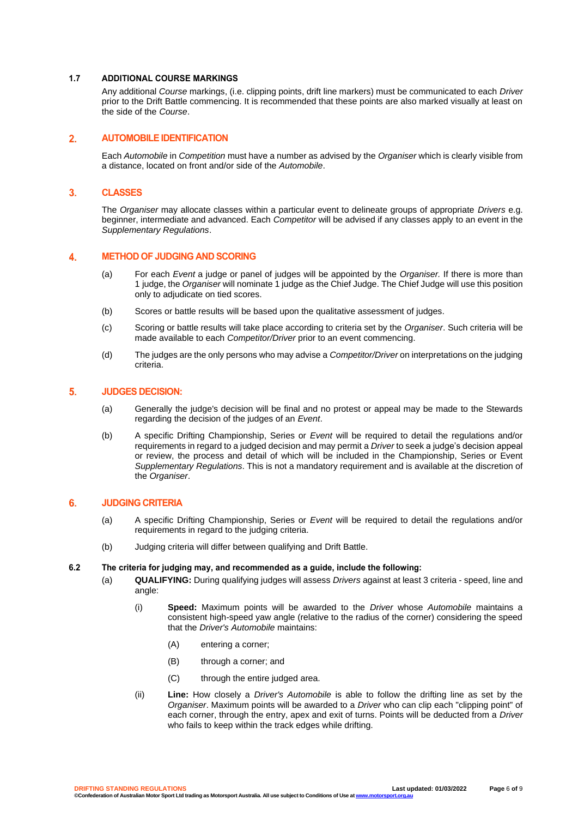### **1.7 ADDITIONAL COURSE MARKINGS**

Any additional *Course* markings, (i.e. clipping points, drift line markers) must be communicated to each *Driver* prior to the Drift Battle commencing. It is recommended that these points are also marked visually at least on the side of the *Course*.

#### $2.$ **AUTOMOBILE IDENTIFICATION**

Each *Automobile* in *Competition* must have a number as advised by the *Organiser* which is clearly visible from a distance, located on front and/or side of the *Automobile*.

#### $3.$ **CLASSES**

The *Organiser* may allocate classes within a particular event to delineate groups of appropriate *Drivers* e.g. beginner, intermediate and advanced. Each *Competitor* will be advised if any classes apply to an event in the *Supplementary Regulations*.

#### 4. **METHOD OF JUDGING AND SCORING**

- (a) For each *Event* a judge or panel of judges will be appointed by the *Organiser.* If there is more than 1 judge, the *Organiser* will nominate 1 judge as the Chief Judge. The Chief Judge will use this position only to adjudicate on tied scores.
- (b) Scores or battle results will be based upon the qualitative assessment of judges.
- (c) Scoring or battle results will take place according to criteria set by the *Organiser*. Such criteria will be made available to each *Competitor/Driver* prior to an event commencing.
- (d) The judges are the only persons who may advise a *Competitor/Driver* on interpretations on the judging criteria.

#### $\overline{5}$ . **JUDGES DECISION:**

- (a) Generally the judge's decision will be final and no protest or appeal may be made to the Stewards regarding the decision of the judges of an *Event*.
- (b) A specific Drifting Championship, Series or *Event* will be required to detail the regulations and/or requirements in regard to a judged decision and may permit a *Driver* to seek a judge's decision appeal or review, the process and detail of which will be included in the Championship, Series or Event *Supplementary Regulations*. This is not a mandatory requirement and is available at the discretion of the *Organiser*.

#### 6. **JUDGING CRITERIA**

- (a) A specific Drifting Championship, Series or *Event* will be required to detail the regulations and/or requirements in regard to the judging criteria.
- (b) Judging criteria will differ between qualifying and Drift Battle.

### **6.2 The criteria for judging may, and recommended as a guide, include the following:**

- (a) **QUALIFYING:** During qualifying judges will assess *Drivers* against at least 3 criteria speed, line and angle:
	- (i) **Speed:** Maximum points will be awarded to the *Driver* whose *Automobile* maintains a consistent high-speed yaw angle (relative to the radius of the corner) considering the speed that the *Driver's Automobile* maintains:
		- (A) entering a corner;
		- (B) through a corner; and
		- (C) through the entire judged area.
	- (ii) **Line:** How closely a *Driver's Automobile* is able to follow the drifting line as set by the *Organiser*. Maximum points will be awarded to a *Driver* who can clip each "clipping point" of each corner, through the entry, apex and exit of turns. Points will be deducted from a *Driver*  who fails to keep within the track edges while drifting.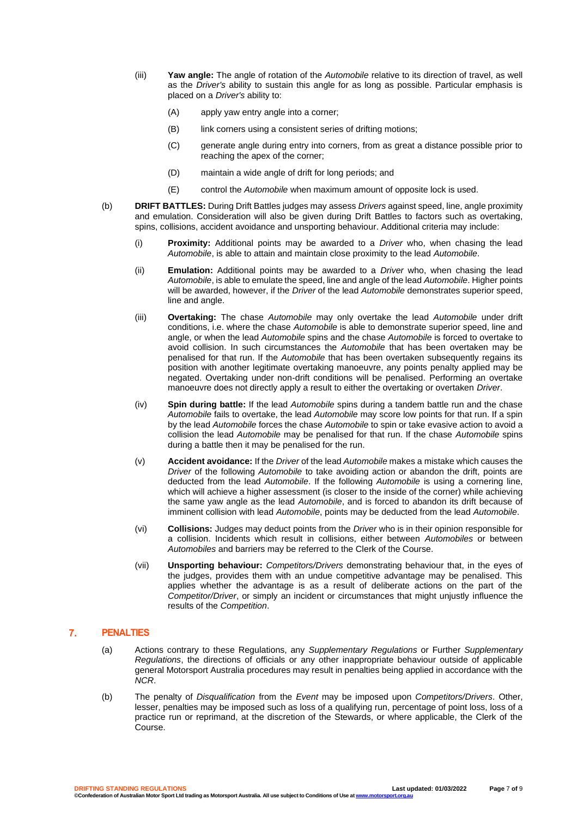- (iii) **Yaw angle:** The angle of rotation of the *Automobile* relative to its direction of travel, as well as the *Driver's* ability to sustain this angle for as long as possible. Particular emphasis is placed on a *Driver's* ability to:
	- (A) apply yaw entry angle into a corner;
	- (B) link corners using a consistent series of drifting motions;
	- (C) generate angle during entry into corners, from as great a distance possible prior to reaching the apex of the corner;
	- (D) maintain a wide angle of drift for long periods; and
	- (E) control the *Automobile* when maximum amount of opposite lock is used.
- (b) **DRIFT BATTLES:** During Drift Battles judges may assess *Drivers* against speed, line, angle proximity and emulation. Consideration will also be given during Drift Battles to factors such as overtaking, spins, collisions, accident avoidance and unsporting behaviour. Additional criteria may include:
	- (i) **Proximity:** Additional points may be awarded to a *Driver* who, when chasing the lead *Automobile*, is able to attain and maintain close proximity to the lead *Automobile*.
	- (ii) **Emulation:** Additional points may be awarded to a *Driver* who, when chasing the lead *Automobile*, is able to emulate the speed, line and angle of the lead *Automobile*. Higher points will be awarded, however, if the *Driver* of the lead *Automobile* demonstrates superior speed, line and angle.
	- (iii) **Overtaking:** The chase *Automobile* may only overtake the lead *Automobile* under drift conditions, i.e. where the chase *Automobile* is able to demonstrate superior speed, line and angle, or when the lead *Automobile* spins and the chase *Automobile* is forced to overtake to avoid collision. In such circumstances the *Automobile* that has been overtaken may be penalised for that run. If the *Automobile* that has been overtaken subsequently regains its position with another legitimate overtaking manoeuvre, any points penalty applied may be negated. Overtaking under non-drift conditions will be penalised. Performing an overtake manoeuvre does not directly apply a result to either the overtaking or overtaken *Driver*.
	- (iv) **Spin during battle:** If the lead *Automobile* spins during a tandem battle run and the chase *Automobile* fails to overtake, the lead *Automobile* may score low points for that run. If a spin by the lead *Automobile* forces the chase *Automobile* to spin or take evasive action to avoid a collision the lead *Automobile* may be penalised for that run. If the chase *Automobile* spins during a battle then it may be penalised for the run.
	- (v) **Accident avoidance:** If the *Driver* of the lead *Automobile* makes a mistake which causes the *Driver* of the following *Automobile* to take avoiding action or abandon the drift, points are deducted from the lead *Automobile*. If the following *Automobile* is using a cornering line, which will achieve a higher assessment (is closer to the inside of the corner) while achieving the same yaw angle as the lead *Automobile*, and is forced to abandon its drift because of imminent collision with lead *Automobile*, points may be deducted from the lead *Automobile*.
	- (vi) **Collisions:** Judges may deduct points from the *Driver* who is in their opinion responsible for a collision. Incidents which result in collisions, either between *Automobiles* or between *Automobiles* and barriers may be referred to the Clerk of the Course.
	- (vii) **Unsporting behaviour:** *Competitors/Drivers* demonstrating behaviour that, in the eyes of the judges, provides them with an undue competitive advantage may be penalised. This applies whether the advantage is as a result of deliberate actions on the part of the *Competitor/Driver*, or simply an incident or circumstances that might unjustly influence the results of the *Competition*.

#### $7<sub>1</sub>$ **PENALTIES**

- (a) Actions contrary to these Regulations, any *Supplementary Regulations* or Further *Supplementary Regulations*, the directions of officials or any other inappropriate behaviour outside of applicable general Motorsport Australia procedures may result in penalties being applied in accordance with the *NCR*.
- (b) The penalty of *Disqualification* from the *Event* may be imposed upon *Competitors/Drivers*. Other, lesser, penalties may be imposed such as loss of a qualifying run, percentage of point loss, loss of a practice run or reprimand, at the discretion of the Stewards, or where applicable, the Clerk of the Course.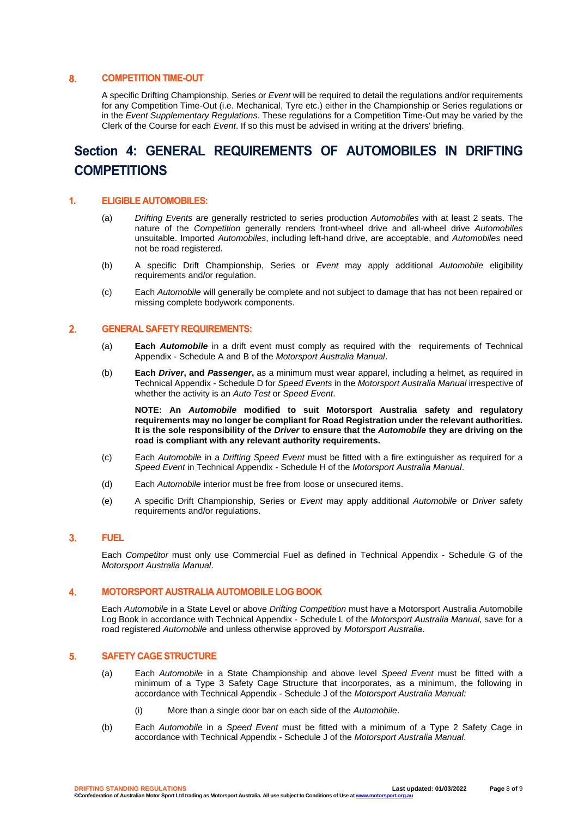#### 8. **COMPETITION TIME-OUT**

A specific Drifting Championship, Series or *Event* will be required to detail the regulations and/or requirements for any Competition Time-Out (i.e. Mechanical, Tyre etc.) either in the Championship or Series regulations or in the *Event Supplementary Regulations*. These regulations for a Competition Time-Out may be varied by the Clerk of the Course for each *Event*. If so this must be advised in writing at the drivers' briefing.

# **Section 4: GENERAL REQUIREMENTS OF AUTOMOBILES IN DRIFTING COMPETITIONS**

### **1. ELIGIBLE AUTOMOBILES:**

- (a) *Drifting Events* are generally restricted to series production *Automobiles* with at least 2 seats. The nature of the *Competition* generally renders front-wheel drive and all-wheel drive *Automobiles* unsuitable. Imported *Automobiles*, including left-hand drive, are acceptable, and *Automobiles* need not be road registered.
- (b) A specific Drift Championship, Series or *Event* may apply additional *Automobile* eligibility requirements and/or requilation.
- (c) Each *Automobile* will generally be complete and not subject to damage that has not been repaired or missing complete bodywork components.

#### $2.$ **GENERAL SAFETY REQUIREMENTS:**

- (a) **Each** *Automobile* in a drift event must comply as required with the requirements of Technical Appendix - Schedule A and B of the *Motorsport Australia Manual*.
- (b) **Each** *Driver***, and** *Passenger***,** as a minimum must wear apparel, including a helmet, as required in Technical Appendix - Schedule D for *Speed Events* in the *Motorsport Australia Manual* irrespective of whether the activity is an *Auto Test* or *Speed Event*.

**NOTE: An** *Automobile* **modified to suit Motorsport Australia safety and regulatory requirements may no longer be compliant for Road Registration under the relevant authorities. It is the sole responsibility of the** *Driver* **to ensure that the** *Automobile* **they are driving on the road is compliant with any relevant authority requirements.** 

- (c) Each *Automobile* in a *Drifting Speed Event* must be fitted with a fire extinguisher as required for a *Speed Event* in Technical Appendix - Schedule H of the *Motorsport Australia Manual*.
- (d) Each *Automobile* interior must be free from loose or unsecured items.
- (e) A specific Drift Championship, Series or *Event* may apply additional *Automobile* or *Driver* safety requirements and/or regulations.

#### $3.$ **FUEL**

Each *Competitor* must only use Commercial Fuel as defined in Technical Appendix - Schedule G of the *Motorsport Australia Manual*.

#### **MOTORSPORT AUSTRALIA AUTOMOBILE LOG BOOK** 4.

Each *Automobile* in a State Level or above *Drifting Competition* must have a Motorsport Australia Automobile Log Book in accordance with Technical Appendix - Schedule L of the *Motorsport Australia Manual,* save for a road registered *Automobile* and unless otherwise approved by *Motorsport Australia*.

#### $5.$ **SAFETY CAGE STRUCTURE**

- (a) Each *Automobile* in a State Championship and above level *Speed Event* must be fitted with a minimum of a Type 3 Safety Cage Structure that incorporates, as a minimum, the following in accordance with Technical Appendix - Schedule J of the *Motorsport Australia Manual:*
	- (i) More than a single door bar on each side of the *Automobile*.
- (b) Each *Automobile* in a *Speed Event* must be fitted with a minimum of a Type 2 Safety Cage in accordance with Technical Appendix - Schedule J of the *Motorsport Australia Manual*.